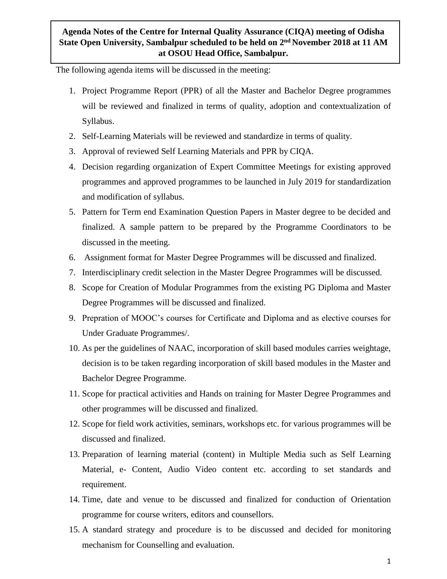## **Agenda Notes of the Centre for Internal Quality Assurance (CIQA) meeting of Odisha**  State Open University, Sambalpur scheduled to be held on 2<sup>nd</sup> November 2018 at 11 AM **at OSOU Head Office, Sambalpur.**

The following agenda items will be discussed in the meeting:

- 1. Project Programme Report (PPR) of all the Master and Bachelor Degree programmes will be reviewed and finalized in terms of quality, adoption and contextualization of Syllabus.
- 2. Self-Learning Materials will be reviewed and standardize in terms of quality.
- 3. Approval of reviewed Self Learning Materials and PPR by CIQA.
- 4. Decision regarding organization of Expert Committee Meetings for existing approved programmes and approved programmes to be launched in July 2019 for standardization and modification of syllabus.
- 5. Pattern for Term end Examination Question Papers in Master degree to be decided and finalized. A sample pattern to be prepared by the Programme Coordinators to be discussed in the meeting.
- 6. Assignment format for Master Degree Programmes will be discussed and finalized.
- 7. Interdisciplinary credit selection in the Master Degree Programmes will be discussed.
- 8. Scope for Creation of Modular Programmes from the existing PG Diploma and Master Degree Programmes will be discussed and finalized.
- 9. Prepration of MOOC's courses for Certificate and Diploma and as elective courses for Under Graduate Programmes/.
- 10. As per the guidelines of NAAC, incorporation of skill based modules carries weightage, decision is to be taken regarding incorporation of skill based modules in the Master and Bachelor Degree Programme.
- 11. Scope for practical activities and Hands on training for Master Degree Programmes and other programmes will be discussed and finalized.
- 12. Scope for field work activities, seminars, workshops etc. for various programmes will be discussed and finalized.
- 13. Preparation of learning material (content) in Multiple Media such as Self Learning Material, e- Content, Audio Video content etc. according to set standards and requirement.
- 14. Time, date and venue to be discussed and finalized for conduction of Orientation programme for course writers, editors and counsellors.
- 15. A standard strategy and procedure is to be discussed and decided for monitoring mechanism for Counselling and evaluation.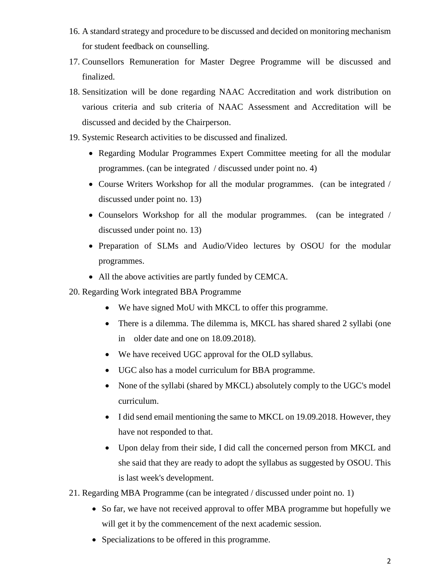- 16. A standard strategy and procedure to be discussed and decided on monitoring mechanism for student feedback on counselling.
- 17. Counsellors Remuneration for Master Degree Programme will be discussed and finalized.
- 18. Sensitization will be done regarding NAAC Accreditation and work distribution on various criteria and sub criteria of NAAC Assessment and Accreditation will be discussed and decided by the Chairperson.
- 19. Systemic Research activities to be discussed and finalized.
	- Regarding Modular Programmes Expert Committee meeting for all the modular programmes. (can be integrated / discussed under point no. 4)
	- Course Writers Workshop for all the modular programmes. (can be integrated / discussed under point no. 13)
	- Counselors Workshop for all the modular programmes. (can be integrated / discussed under point no. 13)
	- Preparation of SLMs and Audio/Video lectures by OSOU for the modular programmes.
	- All the above activities are partly funded by CEMCA.
- 20. Regarding Work integrated BBA Programme
	- We have signed MoU with MKCL to offer this programme.
	- There is a dilemma. The dilemma is, MKCL has shared shared 2 syllabi (one in older date and one on 18.09.2018).
	- We have received UGC approval for the OLD syllabus.
	- UGC also has a model curriculum for BBA programme.
	- None of the syllabi (shared by MKCL) absolutely comply to the UGC's model curriculum.
	- I did send email mentioning the same to MKCL on 19.09.2018. However, they have not responded to that.
	- Upon delay from their side, I did call the concerned person from MKCL and she said that they are ready to adopt the syllabus as suggested by OSOU. This is last week's development.
- 21. Regarding MBA Programme (can be integrated / discussed under point no. 1)
	- So far, we have not received approval to offer MBA programme but hopefully we will get it by the commencement of the next academic session.
	- Specializations to be offered in this programme.